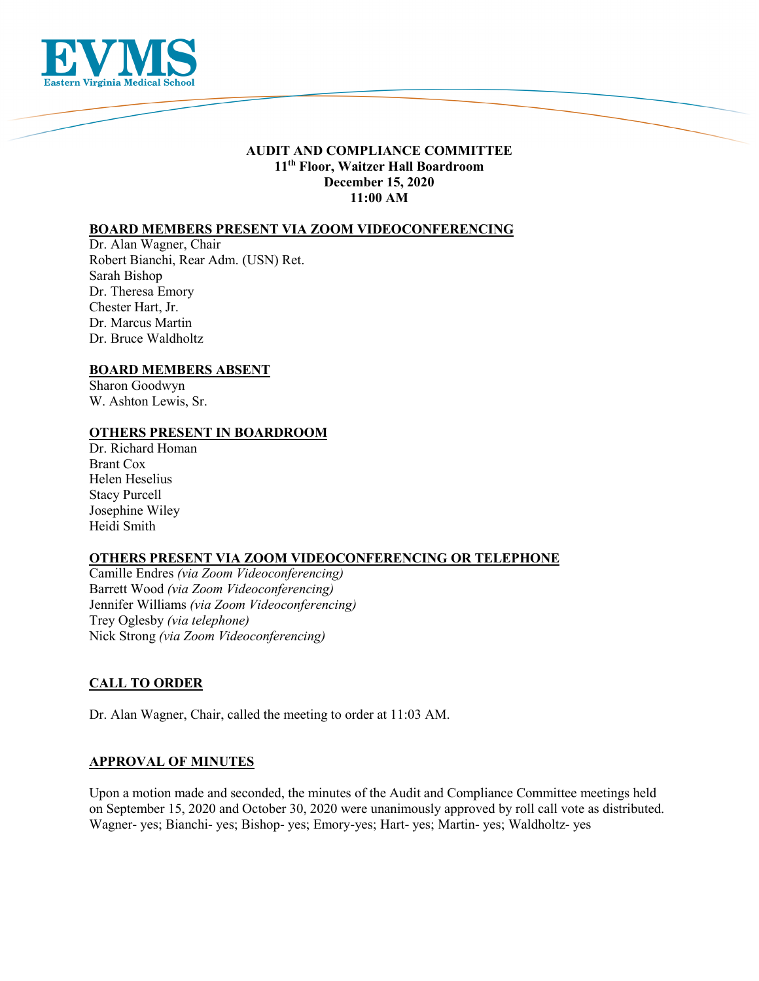

### **AUDIT AND COMPLIANCE COMMITTEE 11th Floor, Waitzer Hall Boardroom December 15, 2020 11:00 AM**

### **BOARD MEMBERS PRESENT VIA ZOOM VIDEOCONFERENCING**

Dr. Alan Wagner, Chair Robert Bianchi, Rear Adm. (USN) Ret. Sarah Bishop Dr. Theresa Emory Chester Hart, Jr. Dr. Marcus Martin Dr. Bruce Waldholtz

### **BOARD MEMBERS ABSENT**

Sharon Goodwyn W. Ashton Lewis, Sr.

### **OTHERS PRESENT IN BOARDROOM**

Dr. Richard Homan Brant Cox Helen Heselius Stacy Purcell Josephine Wiley Heidi Smith

### **OTHERS PRESENT VIA ZOOM VIDEOCONFERENCING OR TELEPHONE**

Camille Endres *(via Zoom Videoconferencing)* Barrett Wood *(via Zoom Videoconferencing)* Jennifer Williams *(via Zoom Videoconferencing)* Trey Oglesby *(via telephone)* Nick Strong *(via Zoom Videoconferencing)*

### **CALL TO ORDER**

Dr. Alan Wagner, Chair, called the meeting to order at 11:03 AM.

### **APPROVAL OF MINUTES**

Upon a motion made and seconded, the minutes of the Audit and Compliance Committee meetings held on September 15, 2020 and October 30, 2020 were unanimously approved by roll call vote as distributed. Wagner- yes; Bianchi- yes; Bishop- yes; Emory-yes; Hart- yes; Martin- yes; Waldholtz- yes